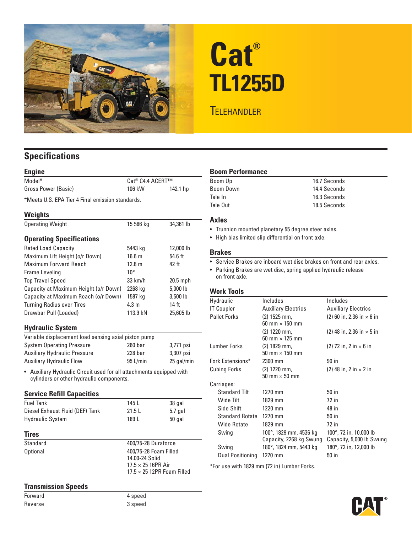

# **Cat® TL1255D**

## **TELEHANDLER**

### **Specifications**

| <b>Engine</b>                                                                                                               |                              |            |  |  |
|-----------------------------------------------------------------------------------------------------------------------------|------------------------------|------------|--|--|
| Model*                                                                                                                      | Cat <sup>®</sup> C4.4 ACERT™ |            |  |  |
| Gross Power (Basic)                                                                                                         | 106 kW                       | 142.1 hp   |  |  |
| *Meets U.S. EPA Tier 4 Final emission standards.                                                                            |                              |            |  |  |
| <b>Weights</b>                                                                                                              |                              |            |  |  |
| <b>Operating Weight</b>                                                                                                     | 15 586 kg                    | 34,361 lb  |  |  |
| <b>Operating Specifications</b>                                                                                             |                              |            |  |  |
| <b>Rated Load Capacity</b>                                                                                                  | 5443 kg                      | 12,000 lb  |  |  |
| Maximum Lift Height (o/r Down)                                                                                              | 16.6 <sub>m</sub>            | 54.6 ft    |  |  |
| Maximum Forward Reach                                                                                                       | 12.8 <sub>m</sub>            | 42 ft      |  |  |
| Frame Leveling                                                                                                              | $10^{\circ}$                 |            |  |  |
| <b>Top Travel Speed</b>                                                                                                     | $33 \text{ km/h}$            | $20.5$ mph |  |  |
| Capacity at Maximum Height (o/r Down)                                                                                       | 2268 kg                      | 5,000 lb   |  |  |
| Capacity at Maximum Reach (o/r Down)                                                                                        | 1587 kg                      | 3,500 lb   |  |  |
| <b>Turning Radius over Tires</b>                                                                                            | 4.3 <sub>m</sub>             | 14 ft      |  |  |
| Drawbar Pull (Loaded)                                                                                                       | 113.9 kN                     | 25,605 lb  |  |  |
| <b>Hydraulic System</b>                                                                                                     |                              |            |  |  |
| Variable displacement load sensing axial piston pump                                                                        |                              |            |  |  |
| <b>System Operating Pressure</b>                                                                                            | $260$ har                    | 3,771 psi  |  |  |
| <b>Auxiliary Hydraulic Pressure</b>                                                                                         | 228 har                      | 3,307 psi  |  |  |
| <b>Auxiliary Hydraulic Flow</b>                                                                                             | $95$ L/min                   | 25 gal/min |  |  |
| Auxiliary Hydraulic Circuit used for all attachments equipped with<br>$\bullet$<br>cylinders or other hydraulic components. |                              |            |  |  |
| <b>Service Refill Capacities</b>                                                                                            |                              |            |  |  |
| <b>Fuel Tank</b>                                                                                                            | 145 <sub>1</sub>             | 38 gal     |  |  |
| Diesel Exhaust Fluid (DEF) Tank                                                                                             | 21.51                        | $5.7$ gal  |  |  |
| <b>Hydraulic System</b>                                                                                                     | 189 L                        | $50$ gal   |  |  |
|                                                                                                                             |                              |            |  |  |

#### **Tires**

Standard 400/75-28 Duraforce Optional 400/75-28 Foam Filled

#### **Transmission Speeds**

Forward 4 speed

14.00-24 Solid<br>17.5 × 25 16PR Air

 $17.5 \times 25$  12PR Foam Filled

#### **Boom Performance**

| Boom Up   | 16.7 Seconds |
|-----------|--------------|
| Boom Down | 14.4 Seconds |
| Tele In   | 16.3 Seconds |
| Tele Out  | 18.5 Seconds |

#### **Axles**

- Trunnion mounted planetary 55 degree steer axles.
- High bias limited slip differential on front axle.

#### **Brakes**

• Service Brakes are inboard wet disc brakes on front and rear axles.

• Parking Brakes are wet disc, spring applied hydraulic release on front axle.

#### **Work Tools**

| Hydraulic            | Includes                                          | Includes                                           |
|----------------------|---------------------------------------------------|----------------------------------------------------|
| IT Coupler           | <b>Auxiliary Electrics</b>                        | <b>Auxiliary Electrics</b>                         |
| <b>Pallet Forks</b>  | $(2)$ 1525 mm,<br>60 mm $\times$ 150 mm           | (2) 60 in, 2.36 in $\times$ 6 in                   |
|                      | $(2)$ 1220 mm,<br>60 mm $\times$ 125 mm           | $(2)$ 48 in, 2.36 in $\times$ 5 in                 |
| Lumber Forks         | $(2)$ 1829 mm,<br>50 mm $\times$ 150 mm           | (2) 72 in, 2 in $\times$ 6 in                      |
| Fork Extensions*     | 2300 mm                                           | 90 in                                              |
| Cubing Forks         | $(2)$ 1220 mm,<br>50 mm $\times$ 50 mm            | (2) 48 in, 2 in $\times$ 2 in                      |
| Carriages:           |                                                   |                                                    |
| <b>Standard Tilt</b> | 1270 mm                                           | 50 in                                              |
| Wide Tilt            | 1829 mm                                           | 72 in                                              |
| Side Shift           | 1220 mm                                           | 48 in                                              |
| Standard Rotate      | 1270 mm                                           | 50 in                                              |
| Wide Rotate          | 1829 mm                                           | 72 in                                              |
| Swing                | 100°, 1829 mm, 4536 kg<br>Capacity, 2268 kg Swung | 100°, 72 in, 10,000 lb<br>Capacity, 5,000 lb Swung |
| Swing                | 180°, 1824 mm, 5443 kg                            | 180°, 72 in, 12,000 lb                             |
| Dual Positioning     | 1270 mm                                           | 50 in                                              |
|                      |                                                   |                                                    |

\*For use with 1829 mm (72 in) Lumber Forks.